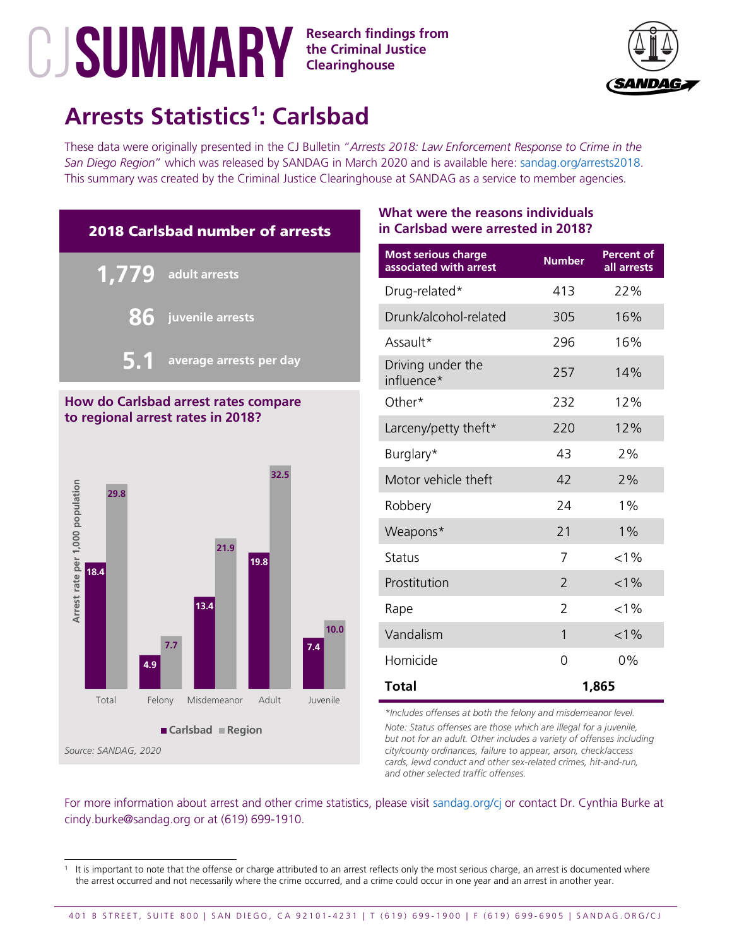## **the Criminal Justice Clearinghouse**



# **Arrests Statistics[1](#page-0-0) : Carlsbad**

These data were originally presented in the CJ Bulletin "*Arrests 2018: Law Enforcement Response to Crime in the San Diego Region*" which was released by SANDAG in March 2020 and is available here: [sandag.org/arrests2018.](http://www.sandag.org/arrests2018) This summary was created by the Criminal Justice Clearinghouse at SANDAG as a service to member agencies.



### **How do Carlsbad arrest rates compare to regional arrest rates in 2018?**



## **What were the reasons individuals in Carlsbad were arrested in 2018?**

| <b>Most serious charge</b><br>associated with arrest | <b>Number</b>  | Percent of<br>all arrests |
|------------------------------------------------------|----------------|---------------------------|
| Drug-related*                                        | 413            | 22%                       |
| Drunk/alcohol-related                                | 305            | 16%                       |
| Assault*                                             | 296            | 16%                       |
| Driving under the<br>influence*                      | 257            | 14%                       |
| Other*                                               | 232            | 12%                       |
| Larceny/petty theft*                                 | 220            | 12%                       |
| Burglary*                                            | 43             | 2%                        |
| Motor vehicle theft                                  | 42             | 2%                        |
| Robbery                                              | 24             | $1\%$                     |
| Weapons*                                             | 21             | $1\%$                     |
| <b>Status</b>                                        | 7              | $< 1\%$                   |
| Prostitution                                         | $\overline{2}$ | $< 1\%$                   |
| Rape                                                 | $\overline{2}$ | $< 1\%$                   |
| Vandalism                                            | 1              | $< 1\%$                   |
| Homicide                                             | 0              | $0\%$                     |
| <b>Total</b>                                         |                | 1,865                     |

*\*Includes offenses at both the felony and misdemeanor level.*

*Note: Status offenses are those which are illegal for a juvenile, but not for an adult. Other includes a variety of offenses including city/county ordinances, failure to appear, arson, check/access cards, lewd conduct and other sex-related crimes, hit-and-run, and other selected traffic offenses.*

<span id="page-0-0"></span>It is important to note that the offense or charge attributed to an arrest reflects only the most serious charge, an arrest is documented where the arrest occurred and not necessarily where the crime occurred, and a crime could occur in one year and an arrest in another year.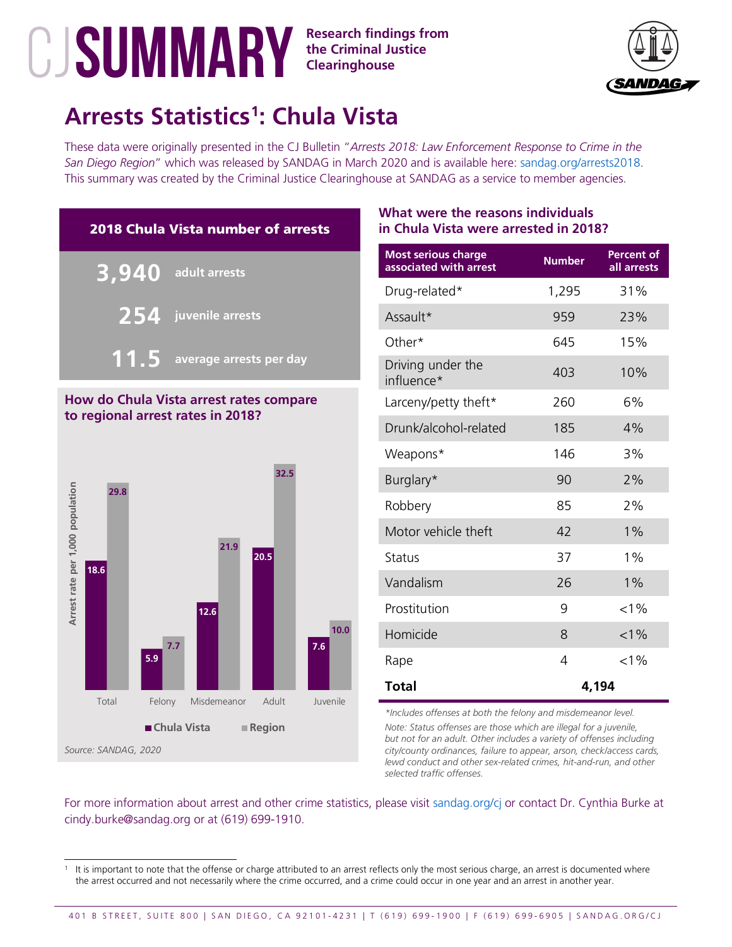

# **Arrests Statistics[1](#page-1-0) : Chula Vista**

These data were originally presented in the CJ Bulletin "*Arrests 2018: Law Enforcement Response to Crime in the San Diego Region*" which was released by SANDAG in March 2020 and is available here: [sandag.org/arrests2018.](http://www.sandag.org/arrests2018) This summary was created by the Criminal Justice Clearinghouse at SANDAG as a service to member agencies.



#### **How do Chula Vista arrest rates compare to regional arrest rates in 2018?**



### **What were the reasons individuals in Chula Vista were arrested in 2018?**

| <b>Most serious charge</b><br>associated with arrest | <b>Number</b> | Percent of<br>all arrests |
|------------------------------------------------------|---------------|---------------------------|
| Drug-related*                                        | 1,295         | 31%                       |
| Assault*                                             | 959           | 23%                       |
| Other*                                               | 645           | 15%                       |
| Driving under the<br>influence*                      | 403           | 10%                       |
| Larceny/petty theft*                                 | 260           | 6%                        |
| Drunk/alcohol-related                                | 185           | 4%                        |
| Weapons*                                             | 146           | 3%                        |
| Burglary*                                            | 90            | 2%                        |
| Robbery                                              | 85            | 2%                        |
| Motor vehicle theft                                  | 42            | 1%                        |
| Status                                               | 37            | 1%                        |
| Vandalism                                            | 26            | 1%                        |
| Prostitution                                         | 9             | $< 1\%$                   |
| Homicide                                             | 8             | $< 1\%$                   |
| Rape                                                 | 4             | $< 1\%$                   |
| <b>Total</b>                                         |               | 4,194                     |

*\*Includes offenses at both the felony and misdemeanor level.*

*Note: Status offenses are those which are illegal for a juvenile, but not for an adult. Other includes a variety of offenses including city/county ordinances, failure to appear, arson, check/access cards, lewd conduct and other sex-related crimes, hit-and-run, and other selected traffic offenses.*

<span id="page-1-0"></span>It is important to note that the offense or charge attributed to an arrest reflects only the most serious charge, an arrest is documented where the arrest occurred and not necessarily where the crime occurred, and a crime could occur in one year and an arrest in another year.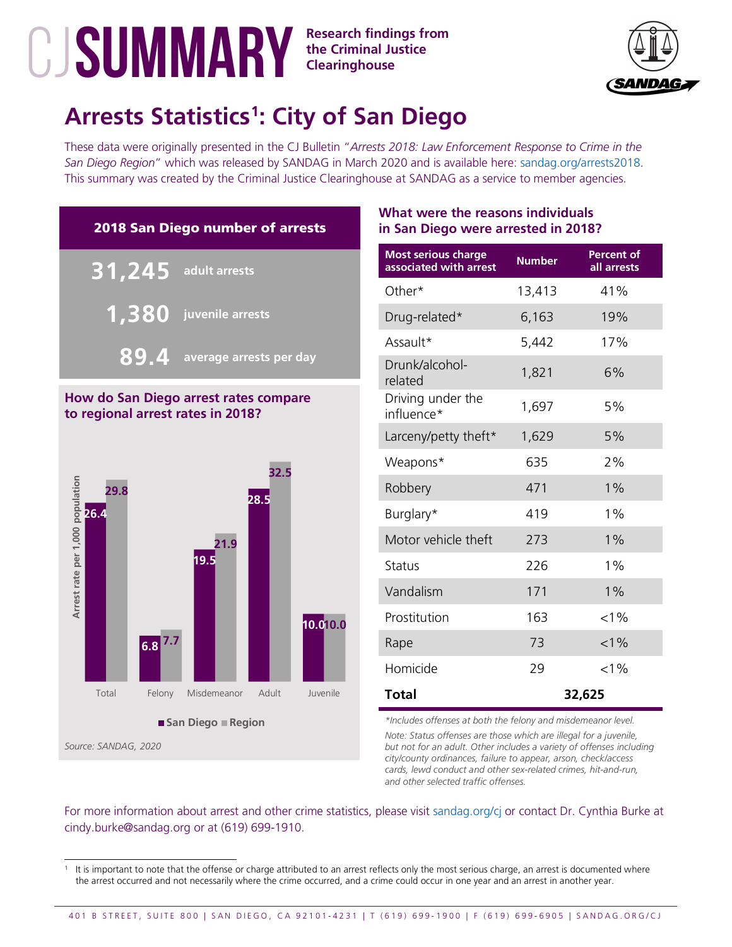

# **Arrests Statistics[1](#page-2-0) : City of San Diego**

These data were originally presented in the CJ Bulletin "*Arrests 2018: Law Enforcement Response to Crime in the San Diego Region*" which was released by SANDAG in March 2020 and is available here: [sandag.org/arrests2018.](http://www.sandag.org/arrests2018) This summary was created by the Criminal Justice Clearinghouse at SANDAG as a service to member agencies.



## **How do San Diego arrest rates compare to regional arrest rates in 2018?**



## **What were the reasons individuals in San Diego were arrested in 2018?**

| <b>Most serious charge</b><br>associated with arrest | <b>Number</b> | <b>Percent of</b><br>all arrests |
|------------------------------------------------------|---------------|----------------------------------|
| Other*                                               | 13,413        | 41%                              |
| Drug-related*                                        | 6,163         | 19%                              |
| Assault*                                             | 5,442         | 17%                              |
| Drunk/alcohol-<br>related                            | 1,821         | 6%                               |
| Driving under the<br>influence*                      | 1,697         | 5%                               |
| Larceny/petty theft*                                 | 1,629         | 5%                               |
| Weapons*                                             | 635           | 2%                               |
| Robbery                                              | 471           | $1\%$                            |
| Burglary*                                            | 419           | $1\%$                            |
| Motor vehicle theft                                  | 273           | $1\%$                            |
| <b>Status</b>                                        | 226           | $1\%$                            |
| Vandalism                                            | 171           | $1\%$                            |
| Prostitution                                         | 163           | $< 1\%$                          |
| Rape                                                 | 73            | $< 1\%$                          |
| Homicide                                             | 29            | $< 1\%$                          |
| Total                                                |               | 32,625                           |

*\*Includes offenses at both the felony and misdemeanor level. Note: Status offenses are those which are illegal for a juvenile, but not for an adult. Other includes a variety of offenses including city/county ordinances, failure to appear, arson, check/access cards, lewd conduct and other sex-related crimes, hit-and-run, and other selected traffic offenses.*

<span id="page-2-0"></span>It is important to note that the offense or charge attributed to an arrest reflects only the most serious charge, an arrest is documented where the arrest occurred and not necessarily where the crime occurred, and a crime could occur in one year and an arrest in another year.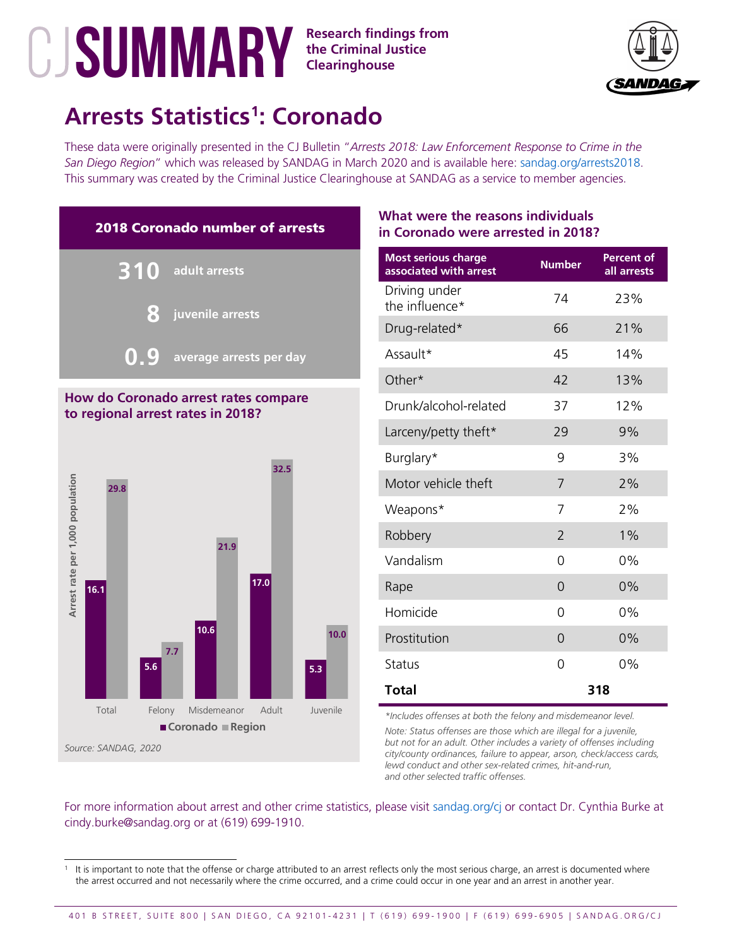



# **Arrests Statistics[1](#page-3-0) : Coronado**

These data were originally presented in the CJ Bulletin "*Arrests 2018: Law Enforcement Response to Crime in the San Diego Region*" which was released by SANDAG in March 2020 and is available here: [sandag.org/arrests2018.](http://www.sandag.org/arrests2018) This summary was created by the Criminal Justice Clearinghouse at SANDAG as a service to member agencies.





## **What were the reasons individuals in Coronado were arrested in 2018?**

| <b>Most serious charge</b><br>associated with arrest | <b>Number</b>  | Percent of<br>all arrests |
|------------------------------------------------------|----------------|---------------------------|
| Driving under<br>the influence*                      | 74             | 23%                       |
| Drug-related*                                        | 66             | 21%                       |
| Assault*                                             | 45             | 14%                       |
| Other*                                               | 42             | 13%                       |
| Drunk/alcohol-related                                | 37             | 12%                       |
| Larceny/petty theft*                                 | 29             | 9%                        |
| Burglary*                                            | 9              | 3%                        |
| Motor vehicle theft                                  | 7              | 2%                        |
| Weapons*                                             | 7              | 2%                        |
| Robbery                                              | $\overline{2}$ | $1\%$                     |
| Vandalism                                            | 0              | 0%                        |
| Rape                                                 | 0              | 0%                        |
| Homicide                                             | 0              | 0%                        |
| Prostitution                                         | 0              | $0\%$                     |
| <b>Status</b>                                        | 0              | 0%                        |
| <b>Total</b>                                         |                | 318                       |

*\*Includes offenses at both the felony and misdemeanor level.*

*Note: Status offenses are those which are illegal for a juvenile, but not for an adult. Other includes a variety of offenses including city/county ordinances, failure to appear, arson, check/access cards, lewd conduct and other sex-related crimes, hit-and-run, and other selected traffic offenses.*

<span id="page-3-0"></span>It is important to note that the offense or charge attributed to an arrest reflects only the most serious charge, an arrest is documented where the arrest occurred and not necessarily where the crime occurred, and a crime could occur in one year and an arrest in another year.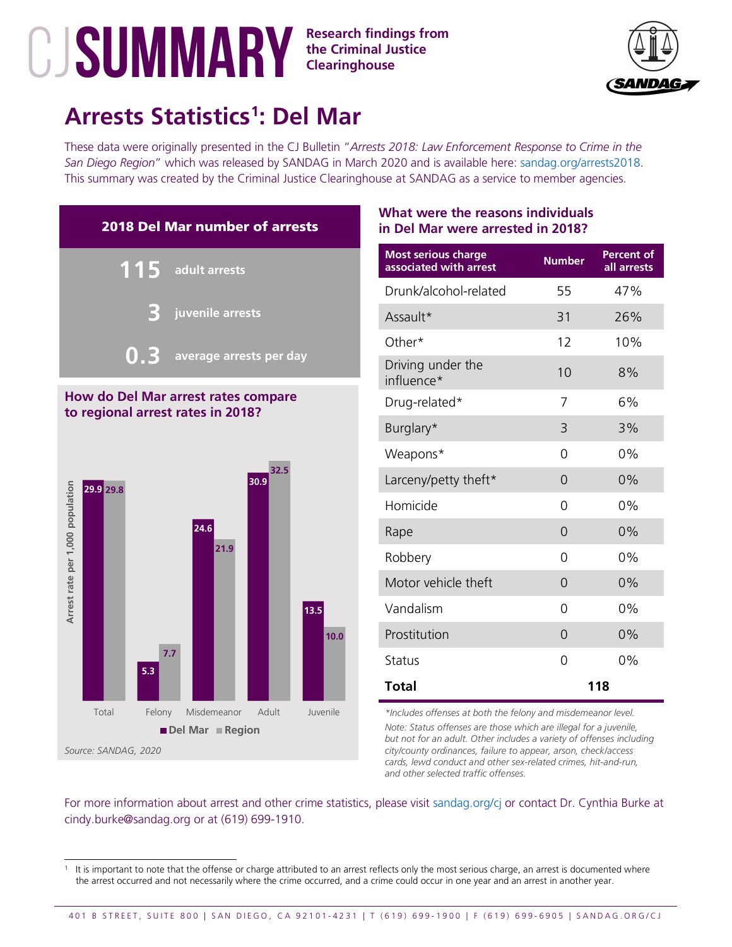## **the Criminal Justice Clearinghouse**



# **Arrests Statistics[1](#page-4-0) : Del Mar**

These data were originally presented in the CJ Bulletin "*Arrests 2018: Law Enforcement Response to Crime in the San Diego Region*" which was released by SANDAG in March 2020 and is available here: [sandag.org/arrests2018.](http://www.sandag.org/arrests2018) This summary was created by the Criminal Justice Clearinghouse at SANDAG as a service to member agencies.



#### **How do Del Mar arrest rates compare to regional arrest rates in 2018?**



## **What were the reasons individuals in Del Mar were arrested in 2018?**

| <b>Most serious charge</b><br>associated with arrest | <b>Number</b> | <b>Percent of</b><br>all arrests |
|------------------------------------------------------|---------------|----------------------------------|
| Drunk/alcohol-related                                | 55            | 47%                              |
| Assault*                                             | 31            | 26%                              |
| Other*                                               | 12            | 10%                              |
| Driving under the<br>influence*                      | 10            | 8%                               |
| Drug-related*                                        | 7             | 6%                               |
| Burglary*                                            | 3             | 3%                               |
| Weapons*                                             | 0             | $0\%$                            |
| Larceny/petty theft*                                 | $\Omega$      | 0%                               |
| Homicide                                             | 0             | $0\%$                            |
| Rape                                                 | $\Omega$      | 0%                               |
| Robbery                                              | 0             | 0%                               |
| Motor vehicle theft                                  | $\Omega$      | 0%                               |
| Vandalism                                            | 0             | 0%                               |
| Prostitution                                         | $\Omega$      | 0%                               |
| <b>Status</b>                                        | 0             | 0%                               |
| <b>Total</b>                                         |               | 118                              |

*\*Includes offenses at both the felony and misdemeanor level.*

*Note: Status offenses are those which are illegal for a juvenile, but not for an adult. Other includes a variety of offenses including city/county ordinances, failure to appear, arson, check/access cards, lewd conduct and other sex-related crimes, hit-and-run, and other selected traffic offenses.*

<span id="page-4-0"></span>It is important to note that the offense or charge attributed to an arrest reflects only the most serious charge, an arrest is documented where the arrest occurred and not necessarily where the crime occurred, and a crime could occur in one year and an arrest in another year.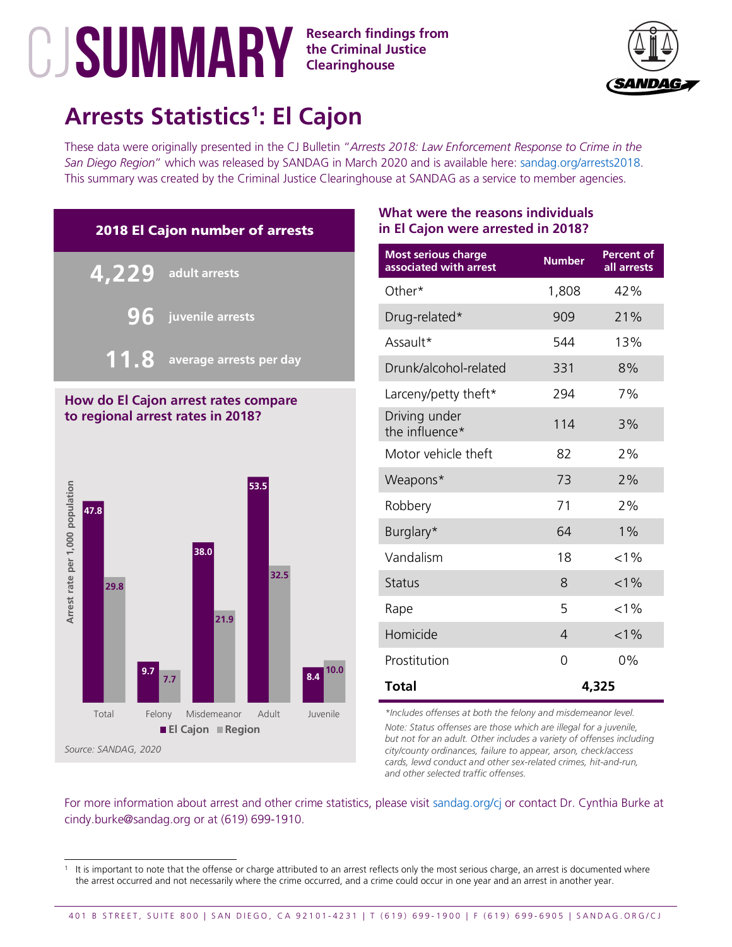

# **Arrests Statistics[1](#page-5-0) : El Cajon**

These data were originally presented in the CJ Bulletin "*Arrests 2018: Law Enforcement Response to Crime in the San Diego Region*" which was released by SANDAG in March 2020 and is available here: [sandag.org/arrests2018.](http://www.sandag.org/arrests2018) This summary was created by the Criminal Justice Clearinghouse at SANDAG as a service to member agencies.

**the Criminal Justice Clearinghouse**



#### **How do El Cajon arrest rates compare to regional arrest rates in 2018?**



### **What were the reasons individuals in El Cajon were arrested in 2018?**

| <b>Most serious charge</b><br>associated with arrest | <b>Number</b> | <b>Percent of</b><br>all arrests |
|------------------------------------------------------|---------------|----------------------------------|
| Other*                                               | 1,808         | 42%                              |
| Drug-related*                                        | 909           | 21%                              |
| Assault*                                             | 544           | 13%                              |
| Drunk/alcohol-related                                | 331           | 8%                               |
| Larceny/petty theft*                                 | 294           | 7%                               |
| Driving under<br>the influence*                      | 114           | 3%                               |
| Motor vehicle theft                                  | 82            | 2%                               |
| Weapons*                                             | 73            | 2%                               |
| Robbery                                              | 71            | 2%                               |
| Burglary*                                            | 64            | $1\%$                            |
| Vandalism                                            | 18            | $< 1\%$                          |
| <b>Status</b>                                        | 8             | $< 1\%$                          |
| Rape                                                 | 5             | $< 1\%$                          |
| Homicide                                             | 4             | $< 1\%$                          |
| Prostitution                                         | 0             | 0%                               |
| <b>Total</b>                                         |               | 4,325                            |

*\*Includes offenses at both the felony and misdemeanor level.*

*Note: Status offenses are those which are illegal for a juvenile, but not for an adult. Other includes a variety of offenses including city/county ordinances, failure to appear, arson, check/access cards, lewd conduct and other sex-related crimes, hit-and-run, and other selected traffic offenses.*

<span id="page-5-0"></span>It is important to note that the offense or charge attributed to an arrest reflects only the most serious charge, an arrest is documented where the arrest occurred and not necessarily where the crime occurred, and a crime could occur in one year and an arrest in another year.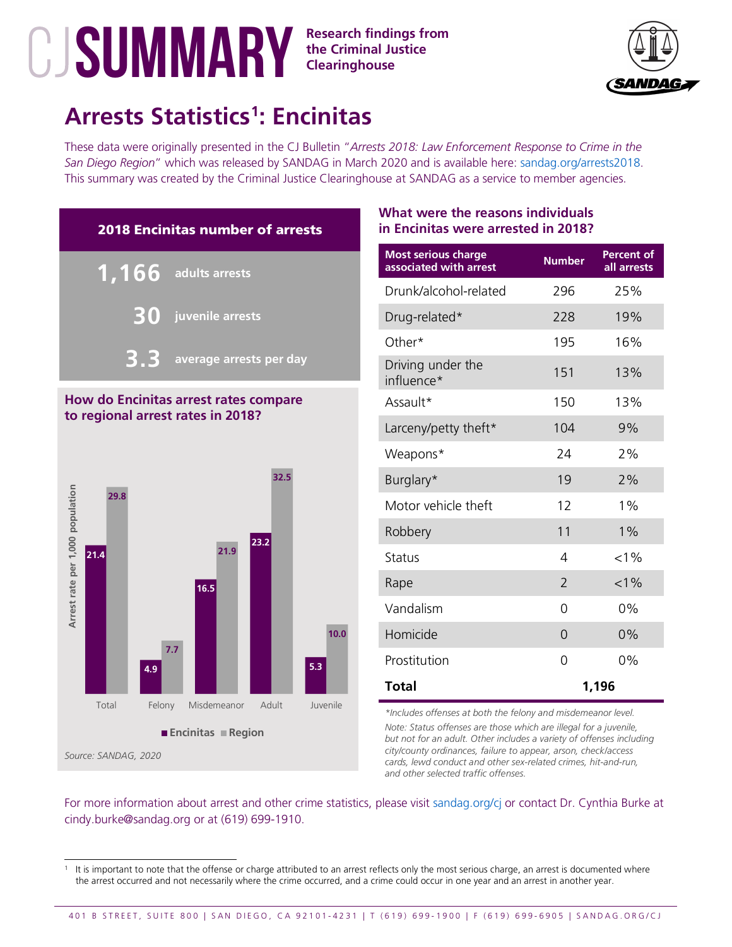**the Criminal Justice Clearinghouse**



# **Arrests Statistics[1](#page-6-0) : Encinitas**

These data were originally presented in the CJ Bulletin "*Arrests 2018: Law Enforcement Response to Crime in the San Diego Region*" which was released by SANDAG in March 2020 and is available here: [sandag.org/arrests2018.](http://www.sandag.org/arrests2018) This summary was created by the Criminal Justice Clearinghouse at SANDAG as a service to member agencies.



## **How do Encinitas arrest rates compare to regional arrest rates in 2018?**



### **What were the reasons individuals in Encinitas were arrested in 2018?**

| <b>Most serious charge</b><br>associated with arrest | <b>Number</b>  | <b>Percent of</b><br>all arrests |
|------------------------------------------------------|----------------|----------------------------------|
| Drunk/alcohol-related                                | 296            | 25%                              |
| Drug-related*                                        | 228            | 19%                              |
| Other*                                               | 195            | 16%                              |
| Driving under the<br>influence*                      | 151            | 13%                              |
| Assault*                                             | 150            | 13%                              |
| Larceny/petty theft*                                 | 104            | 9%                               |
| Weapons*                                             | 74             | 2%                               |
| Burglary*                                            | 19             | 2%                               |
| Motor vehicle theft                                  | 12             | $1\%$                            |
| Robbery                                              | 11             | $1\%$                            |
| Status                                               | 4              | $< 1\%$                          |
| Rape                                                 | $\overline{2}$ | $< 1\%$                          |
| Vandalism                                            | 0              | 0%                               |
| Homicide                                             | $\Omega$       | 0%                               |
| Prostitution                                         | 0              | 0%                               |
| <b>Total</b>                                         |                | 1,196                            |

*\*Includes offenses at both the felony and misdemeanor level.*

*Note: Status offenses are those which are illegal for a juvenile, but not for an adult. Other includes a variety of offenses including city/county ordinances, failure to appear, arson, check/access cards, lewd conduct and other sex-related crimes, hit-and-run, and other selected traffic offenses.*

<span id="page-6-0"></span>It is important to note that the offense or charge attributed to an arrest reflects only the most serious charge, an arrest is documented where the arrest occurred and not necessarily where the crime occurred, and a crime could occur in one year and an arrest in another year.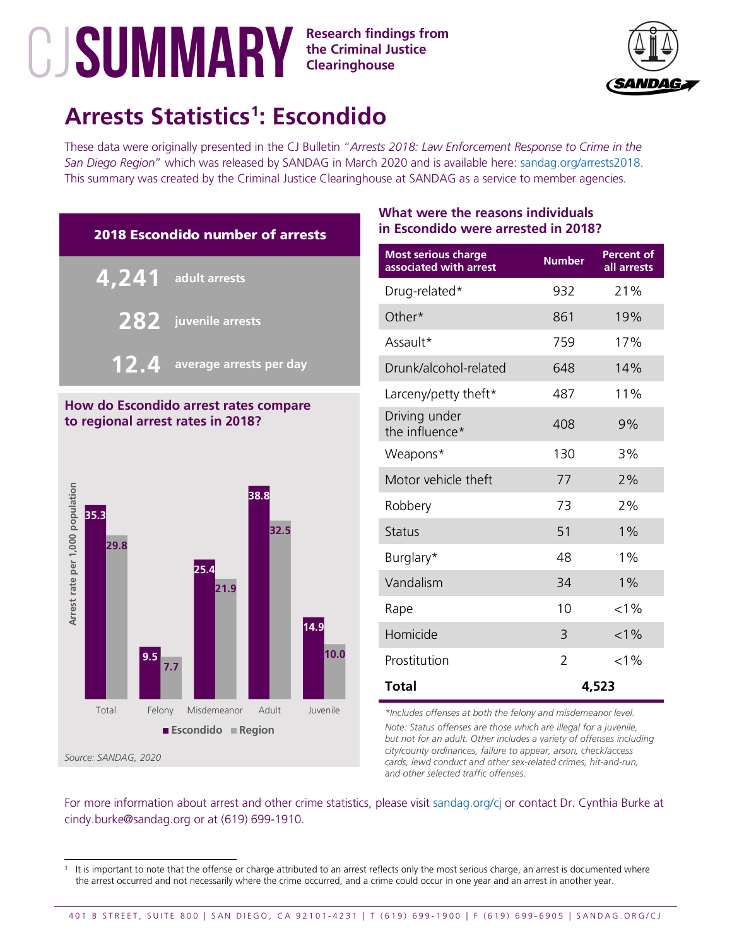## **the Criminal Justice Clearinghouse**



# **Arrests Statistics[1](#page-7-0) : Escondido**

These data were originally presented in the CJ Bulletin "*Arrests 2018: Law Enforcement Response to Crime in the San Diego Region*" which was released by SANDAG in March 2020 and is available here: [sandag.org/arrests2018.](http://www.sandag.org/arrests2018) This summary was created by the Criminal Justice Clearinghouse at SANDAG as a service to member agencies.



## **How do Escondido arrest rates compare to regional arrest rates in 2018?**



## **What were the reasons individuals in Escondido were arrested in 2018?**

| <b>Most serious charge</b><br>associated with arrest | <b>Number</b> | <b>Percent of</b><br>all arrests |
|------------------------------------------------------|---------------|----------------------------------|
| Drug-related*                                        | 932           | 21%                              |
| Other*                                               | 861           | 19%                              |
| Assault*                                             | 759           | 17%                              |
| Drunk/alcohol-related                                | 648           | 14%                              |
| Larceny/petty theft*                                 | 487           | 11%                              |
| Driving under<br>the influence*                      | 408           | 9%                               |
| Weapons*                                             | 130           | 3%                               |
| Motor vehicle theft                                  | 77            | 2%                               |
| Robbery                                              | 73            | 2%                               |
| <b>Status</b>                                        | 51            | 1%                               |
| Burglary*                                            | 48            | 1%                               |
| Vandalism                                            | 34            | 1%                               |
| Rape                                                 | 10            | $< 1\%$                          |
| Homicide                                             | 3             | $< 1\%$                          |
| Prostitution                                         | 2             | $< 1\%$                          |
| <b>Total</b>                                         |               | 4,523                            |

*\*Includes offenses at both the felony and misdemeanor level.*

*Note: Status offenses are those which are illegal for a juvenile, but not for an adult. Other includes a variety of offenses including city/county ordinances, failure to appear, arson, check/access cards, lewd conduct and other sex-related crimes, hit-and-run, and other selected traffic offenses.*

<span id="page-7-0"></span>It is important to note that the offense or charge attributed to an arrest reflects only the most serious charge, an arrest is documented where the arrest occurred and not necessarily where the crime occurred, and a crime could occur in one year and an arrest in another year.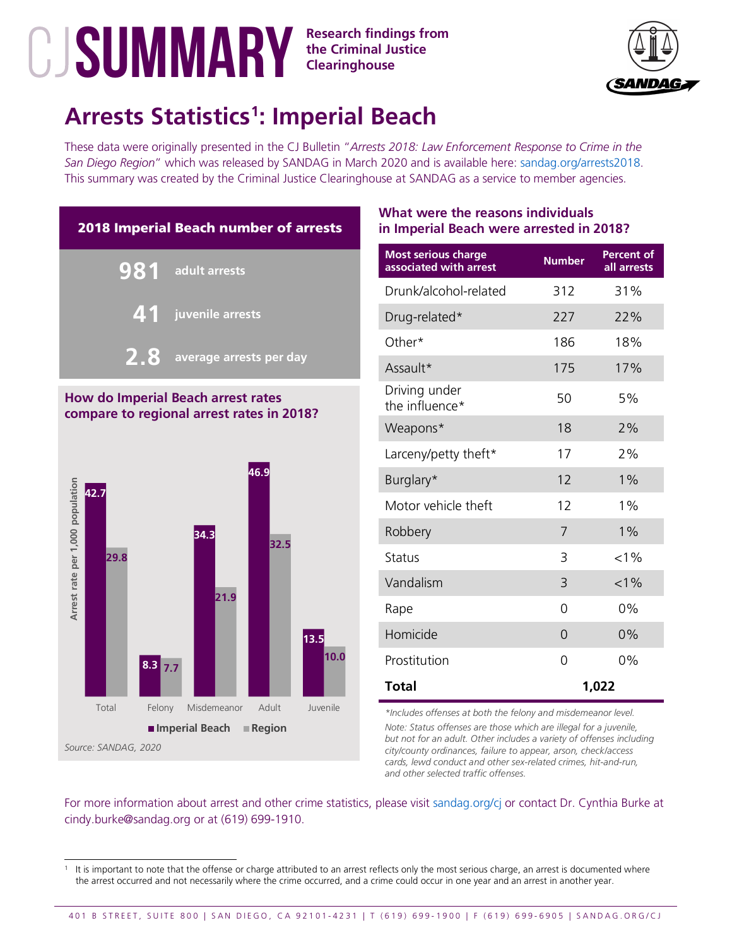

## **Arrests Statistics[1](#page-8-0) : Imperial Beach**

These data were originally presented in the CJ Bulletin "*Arrests 2018: Law Enforcement Response to Crime in the San Diego Region*" which was released by SANDAG in March 2020 and is available here: [sandag.org/arrests2018.](http://www.sandag.org/arrests2018) This summary was created by the Criminal Justice Clearinghouse at SANDAG as a service to member agencies.



### **How do Imperial Beach arrest rates compare to regional arrest rates in 2018?**



## **What were the reasons individuals in Imperial Beach were arrested in 2018?**

| <b>Most serious charge</b><br>associated with arrest | <b>Number</b> | <b>Percent of</b><br>all arrests |
|------------------------------------------------------|---------------|----------------------------------|
| Drunk/alcohol-related                                | 312           | 31%                              |
| Drug-related*                                        | 227           | 22%                              |
| Other*                                               | 186           | 18%                              |
| Assault*                                             | 175           | 17%                              |
| Driving under<br>the influence*                      | 50            | 5%                               |
| Weapons*                                             | 18            | 2%                               |
| Larceny/petty theft*                                 | 17            | 2%                               |
| Burglary*                                            | 12            | $1\%$                            |
| Motor vehicle theft                                  | 12            | $1\%$                            |
| Robbery                                              | 7             | $1\%$                            |
| <b>Status</b>                                        | 3             | $< 1\%$                          |
| Vandalism                                            | 3             | $< 1\%$                          |
| Rape                                                 | 0             | 0%                               |
| Homicide                                             | $\Omega$      | 0%                               |
| Prostitution                                         | 0             | 0%                               |
| <b>Total</b>                                         |               | 1,022                            |

*\*Includes offenses at both the felony and misdemeanor level.*

*Note: Status offenses are those which are illegal for a juvenile, but not for an adult. Other includes a variety of offenses including city/county ordinances, failure to appear, arson, check/access cards, lewd conduct and other sex-related crimes, hit-and-run, and other selected traffic offenses.*

<span id="page-8-0"></span>It is important to note that the offense or charge attributed to an arrest reflects only the most serious charge, an arrest is documented where the arrest occurred and not necessarily where the crime occurred, and a crime could occur in one year and an arrest in another year.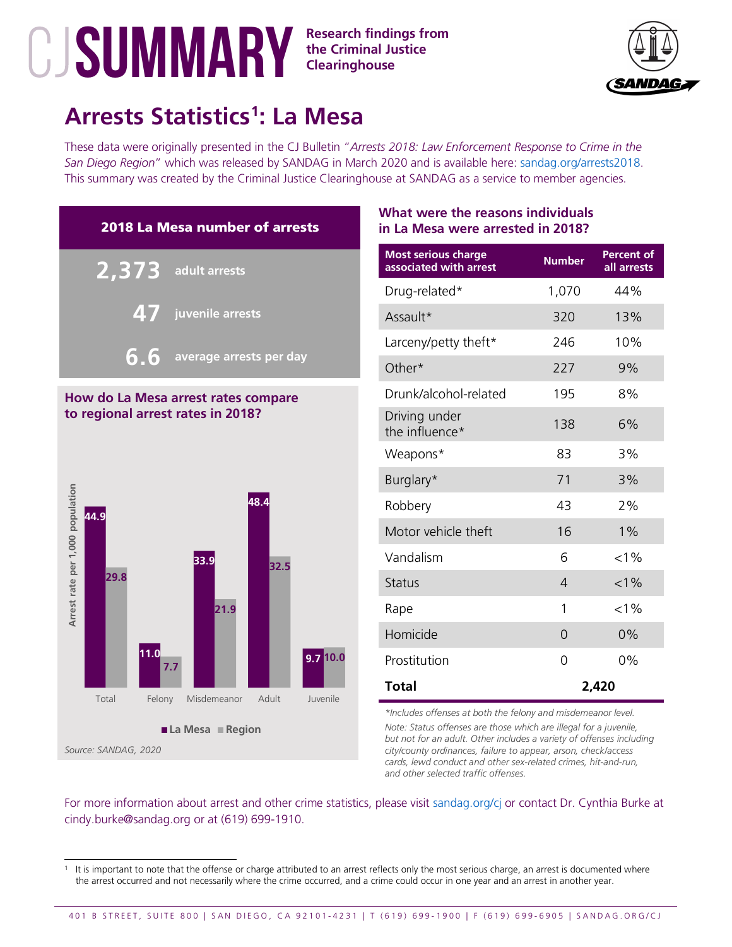## **the Criminal Justice Clearinghouse**



# **Arrests Statistics[1](#page-9-0) : La Mesa**

These data were originally presented in the CJ Bulletin "*Arrests 2018: Law Enforcement Response to Crime in the San Diego Region*" which was released by SANDAG in March 2020 and is available here: [sandag.org/arrests2018.](http://www.sandag.org/arrests2018) This summary was created by the Criminal Justice Clearinghouse at SANDAG as a service to member agencies.



#### **How do La Mesa arrest rates compare to regional arrest rates in 2018?**



### **What were the reasons individuals in La Mesa were arrested in 2018?**

| <b>Most serious charge</b><br>associated with arrest | <b>Number</b> | <b>Percent of</b><br>all arrests |
|------------------------------------------------------|---------------|----------------------------------|
| Drug-related*                                        | 1,070         | 44%                              |
| Assault*                                             | 320           | 13%                              |
| Larceny/petty theft*                                 | 246           | 10%                              |
| Other*                                               | 227           | 9%                               |
| Drunk/alcohol-related                                | 195           | 8%                               |
| Driving under<br>the influence*                      | 138           | 6%                               |
| Weapons*                                             | 83            | 3%                               |
| Burglary*                                            | 71            | 3%                               |
| Robbery                                              | 43            | 2%                               |
| Motor vehicle theft                                  | 16            | $1\%$                            |
| Vandalism                                            | 6             | $< 1\%$                          |
| <b>Status</b>                                        | 4             | $< 1\%$                          |
| Rape                                                 | 1             | $< 1\%$                          |
| Homicide                                             | $\Omega$      | 0%                               |
| Prostitution                                         | 0             | 0%                               |
| <b>Total</b>                                         |               | 2,420                            |

*\*Includes offenses at both the felony and misdemeanor level.*

*Note: Status offenses are those which are illegal for a juvenile, but not for an adult. Other includes a variety of offenses including city/county ordinances, failure to appear, arson, check/access cards, lewd conduct and other sex-related crimes, hit-and-run, and other selected traffic offenses.*

<span id="page-9-0"></span>It is important to note that the offense or charge attributed to an arrest reflects only the most serious charge, an arrest is documented where the arrest occurred and not necessarily where the crime occurred, and a crime could occur in one year and an arrest in another year.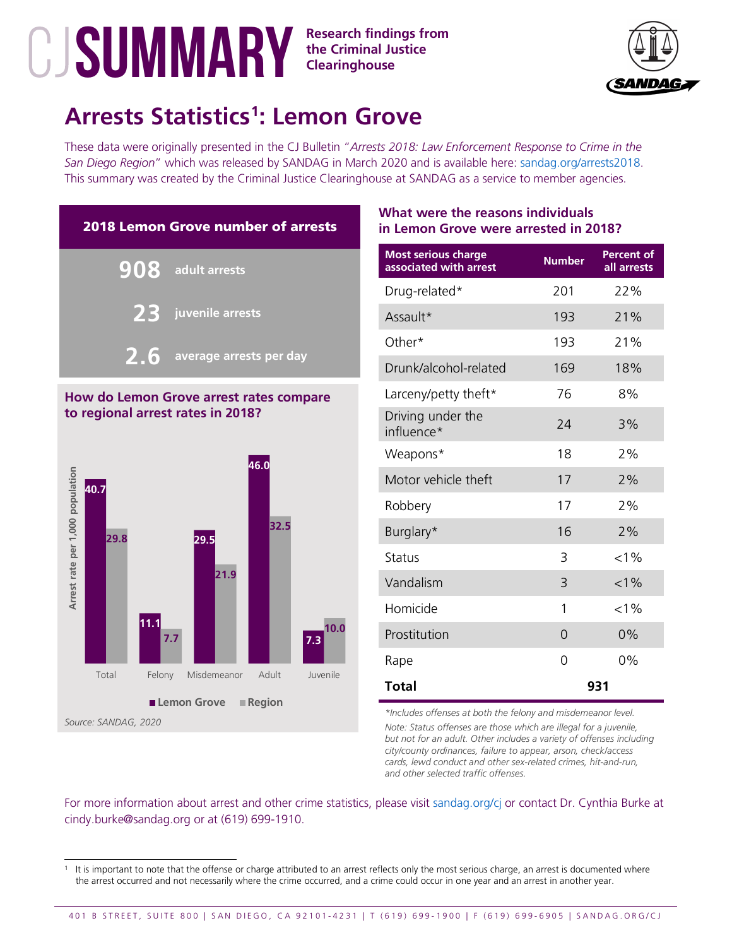

## **Arrests Statistics[1](#page-10-0) : Lemon Grove**

These data were originally presented in the CJ Bulletin "*Arrests 2018: Law Enforcement Response to Crime in the San Diego Region*" which was released by SANDAG in March 2020 and is available here: [sandag.org/arrests2018.](http://www.sandag.org/arrests2018) This summary was created by the Criminal Justice Clearinghouse at SANDAG as a service to member agencies.



#### **How do Lemon Grove arrest rates compare to regional arrest rates in 2018?**



## **What were the reasons individuals in Lemon Grove were arrested in 2018?**

| <b>Most serious charge</b><br>associated with arrest | <b>Number</b> | <b>Percent of</b><br>all arrests |
|------------------------------------------------------|---------------|----------------------------------|
| Drug-related*                                        | 201           | 22%                              |
| Assault*                                             | 193           | 21%                              |
| Other*                                               | 193           | 21%                              |
| Drunk/alcohol-related                                | 169           | 18%                              |
| Larceny/petty theft*                                 | 76            | 8%                               |
| Driving under the<br>influence*                      | 24            | 3%                               |
| Weapons*                                             | 18            | 2%                               |
| Motor vehicle theft                                  | 17            | 2%                               |
| Robbery                                              | 17            | 2%                               |
| Burglary*                                            | 16            | 2%                               |
| <b>Status</b>                                        | 3             | $< 1\%$                          |
| Vandalism                                            | 3             | $< 1\%$                          |
| Homicide                                             | 1             | $< 1\%$                          |
| Prostitution                                         | $\Omega$      | 0%                               |
| Rape                                                 | 0             | 0%                               |
| <b>Total</b>                                         |               | 931                              |

*\*Includes offenses at both the felony and misdemeanor level.*

*Note: Status offenses are those which are illegal for a juvenile, but not for an adult. Other includes a variety of offenses including city/county ordinances, failure to appear, arson, check/access cards, lewd conduct and other sex-related crimes, hit-and-run, and other selected traffic offenses.*

<span id="page-10-0"></span>It is important to note that the offense or charge attributed to an arrest reflects only the most serious charge, an arrest is documented where the arrest occurred and not necessarily where the crime occurred, and a crime could occur in one year and an arrest in another year.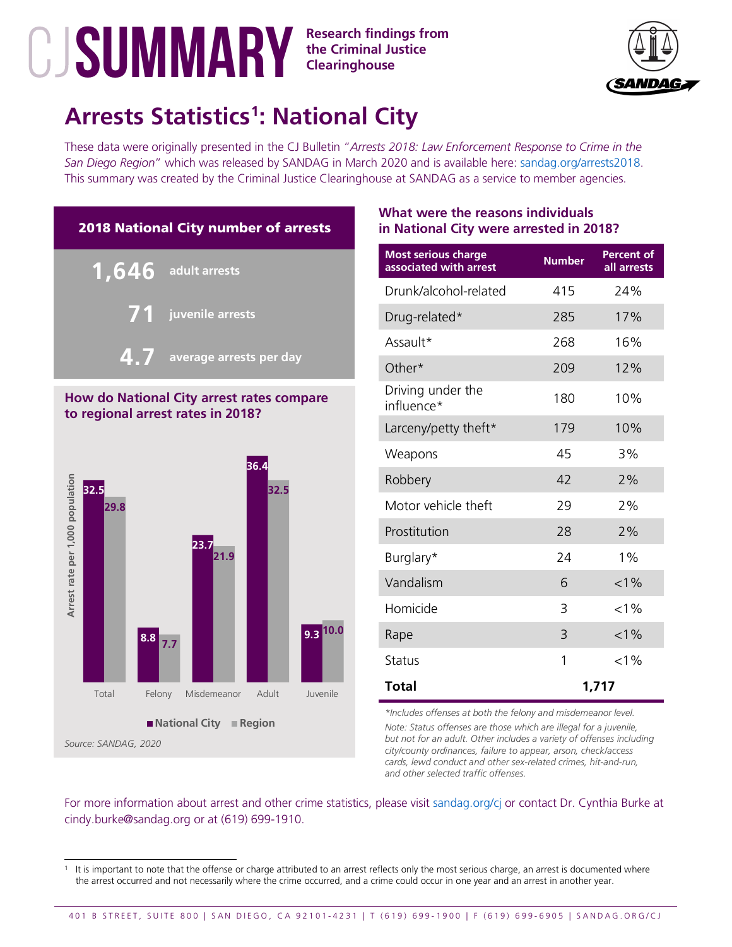

# **Arrests Statistics[1](#page-11-0) : National City**

These data were originally presented in the CJ Bulletin "*Arrests 2018: Law Enforcement Response to Crime in the San Diego Region*" which was released by SANDAG in March 2020 and is available here: [sandag.org/arrests2018.](http://www.sandag.org/arrests2018) This summary was created by the Criminal Justice Clearinghouse at SANDAG as a service to member agencies.



### **How do National City arrest rates compare to regional arrest rates in 2018?**



## **What were the reasons individuals in National City were arrested in 2018?**

| <b>Most serious charge</b><br>associated with arrest | <b>Number</b> | Percent of<br>all arrests |
|------------------------------------------------------|---------------|---------------------------|
| Drunk/alcohol-related                                | 415           | 24%                       |
| Drug-related*                                        | 285           | 17%                       |
| Assault*                                             | 268           | 16%                       |
| Other*                                               | 209           | 12%                       |
| Driving under the<br>influence*                      | 180           | 10%                       |
| Larceny/petty theft*                                 | 179           | 10%                       |
| Weapons                                              | 45            | 3%                        |
| Robbery                                              | 42            | 2%                        |
| Motor vehicle theft                                  | 29            | 2%                        |
| Prostitution                                         | 28            | 2%                        |
| Burglary*                                            | 24            | $1\%$                     |
| Vandalism                                            | 6             | $< 1\%$                   |
| Homicide                                             | 3             | $< 1\%$                   |
| Rape                                                 | 3             | $< 1\%$                   |
| <b>Status</b>                                        | 1             | $< 1\%$                   |
| <b>Total</b>                                         |               | 1,717                     |

*\*Includes offenses at both the felony and misdemeanor level.*

*Note: Status offenses are those which are illegal for a juvenile, but not for an adult. Other includes a variety of offenses including city/county ordinances, failure to appear, arson, check/access cards, lewd conduct and other sex-related crimes, hit-and-run, and other selected traffic offenses.*

<span id="page-11-0"></span>It is important to note that the offense or charge attributed to an arrest reflects only the most serious charge, an arrest is documented where the arrest occurred and not necessarily where the crime occurred, and a crime could occur in one year and an arrest in another year.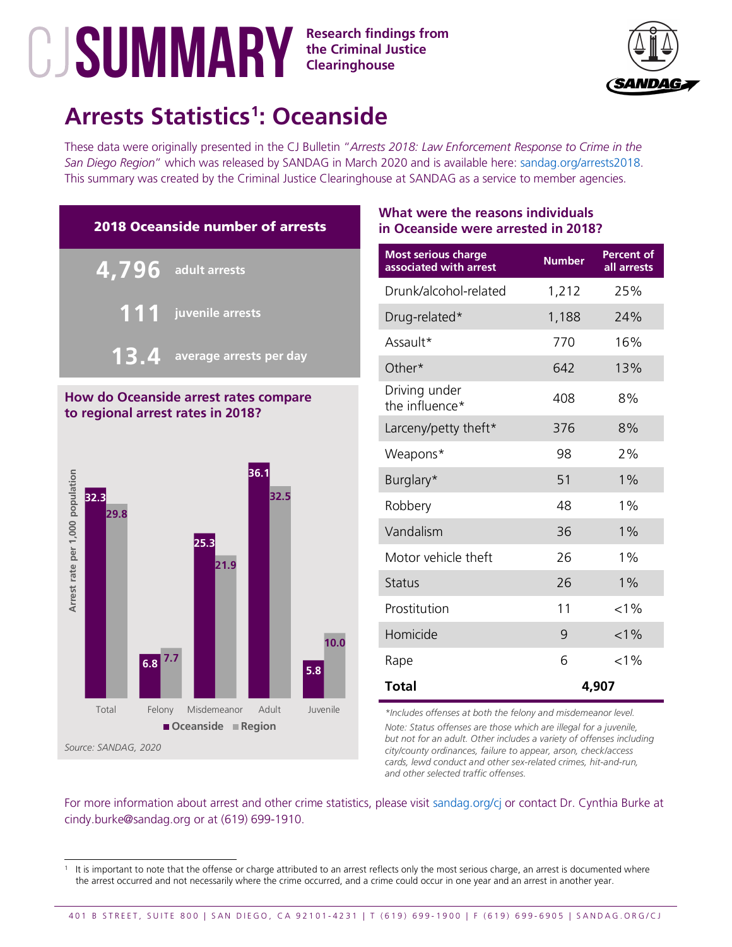**the Criminal Justice Clearinghouse**



# **Arrests Statistics[1](#page-12-0) : Oceanside**

These data were originally presented in the CJ Bulletin "*Arrests 2018: Law Enforcement Response to Crime in the San Diego Region*" which was released by SANDAG in March 2020 and is available here: [sandag.org/arrests2018.](http://www.sandag.org/arrests2018) This summary was created by the Criminal Justice Clearinghouse at SANDAG as a service to member agencies.



### **How do Oceanside arrest rates compare to regional arrest rates in 2018?**



## **What were the reasons individuals in Oceanside were arrested in 2018?**

| <b>Most serious charge</b><br>associated with arrest | <b>Number</b> | <b>Percent of</b><br>all arrests |
|------------------------------------------------------|---------------|----------------------------------|
| Drunk/alcohol-related                                | 1,212         | 25%                              |
| Drug-related*                                        | 1,188         | 24%                              |
| Assault*                                             | 770           | 16%                              |
| Other*                                               | 642           | 13%                              |
| Driving under<br>the influence*                      | 408           | 8%                               |
| Larceny/petty theft*                                 | 376           | 8%                               |
| Weapons*                                             | 98            | 2%                               |
| Burglary*                                            | 51            | 1%                               |
| Robbery                                              | 48            | $1\%$                            |
| Vandalism                                            | 36            | $1\%$                            |
| Motor vehicle theft                                  | 26            | 1%                               |
| <b>Status</b>                                        | 26            | $1\%$                            |
| Prostitution                                         | 11            | $< 1\%$                          |
| Homicide                                             | 9             | $< 1\%$                          |
| Rape                                                 | 6             | $< 1\%$                          |
| <b>Total</b>                                         | 4,907         |                                  |

*\*Includes offenses at both the felony and misdemeanor level.*

*Note: Status offenses are those which are illegal for a juvenile, but not for an adult. Other includes a variety of offenses including city/county ordinances, failure to appear, arson, check/access cards, lewd conduct and other sex-related crimes, hit-and-run, and other selected traffic offenses.*

<span id="page-12-0"></span>It is important to note that the offense or charge attributed to an arrest reflects only the most serious charge, an arrest is documented where the arrest occurred and not necessarily where the crime occurred, and a crime could occur in one year and an arrest in another year.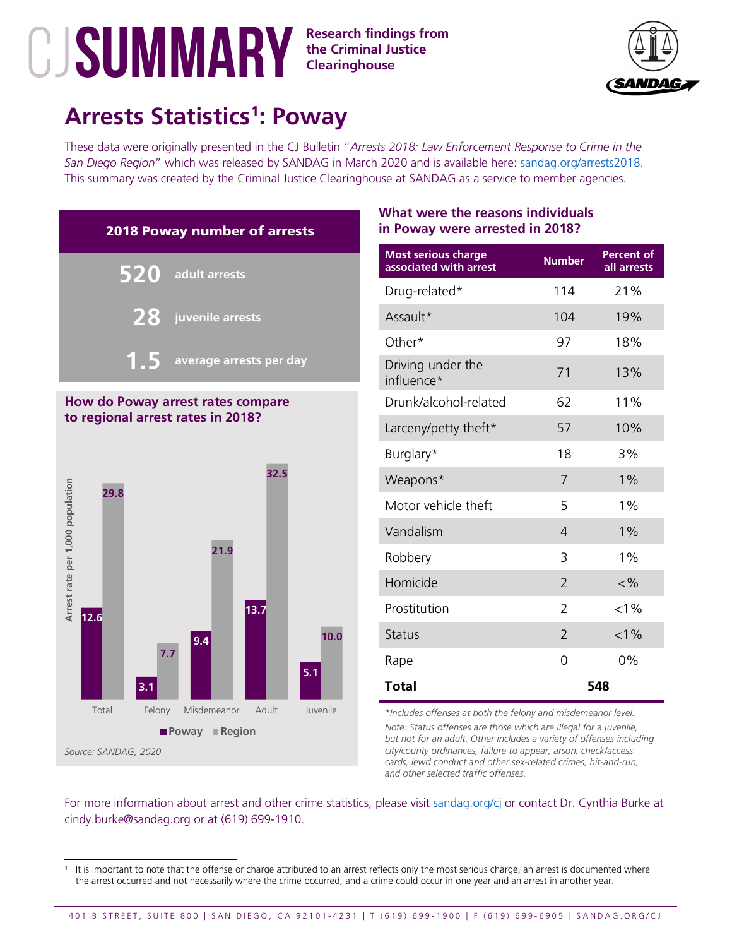**the Criminal Justice Clearinghouse**



## **Arrests Statistics[1](#page-13-0) : Poway**

These data were originally presented in the CJ Bulletin "*Arrests 2018: Law Enforcement Response to Crime in the San Diego Region*" which was released by SANDAG in March 2020 and is available here: [sandag.org/arrests2018.](http://www.sandag.org/arrests2018) This summary was created by the Criminal Justice Clearinghouse at SANDAG as a service to member agencies.



#### **How do Poway arrest rates compare to regional arrest rates in 2018?**



## **What were the reasons individuals in Poway were arrested in 2018?**

| <b>Most serious charge</b><br>associated with arrest | <b>Number</b>  | <b>Percent of</b><br>all arrests |
|------------------------------------------------------|----------------|----------------------------------|
| Drug-related*                                        | 114            | 21%                              |
| Assault*                                             | 104            | 19%                              |
| Other*                                               | 97             | 18%                              |
| Driving under the<br>influence*                      | 71             | 13%                              |
| Drunk/alcohol-related                                | 62             | 11%                              |
| Larceny/petty theft*                                 | 57             | 10%                              |
| Burglary*                                            | 18             | 3%                               |
| Weapons*                                             | 7              | $1\%$                            |
| Motor vehicle theft                                  | 5              | $1\%$                            |
| Vandalism                                            | $\overline{4}$ | 1%                               |
| Robbery                                              | 3              | 1%                               |
| Homicide                                             | $\overline{2}$ | $<\!\frac{9}{6}$                 |
| Prostitution                                         | $\overline{2}$ | $< 1\%$                          |
| <b>Status</b>                                        | $\mathcal{P}$  | $< 1\%$                          |
| Rape                                                 | 0              | 0%                               |
| <b>Total</b>                                         | 548            |                                  |

*\*Includes offenses at both the felony and misdemeanor level.*

*Note: Status offenses are those which are illegal for a juvenile, but not for an adult. Other includes a variety of offenses including city/county ordinances, failure to appear, arson, check/access cards, lewd conduct and other sex-related crimes, hit-and-run, and other selected traffic offenses.*

<span id="page-13-0"></span>It is important to note that the offense or charge attributed to an arrest reflects only the most serious charge, an arrest is documented where the arrest occurred and not necessarily where the crime occurred, and a crime could occur in one year and an arrest in another year.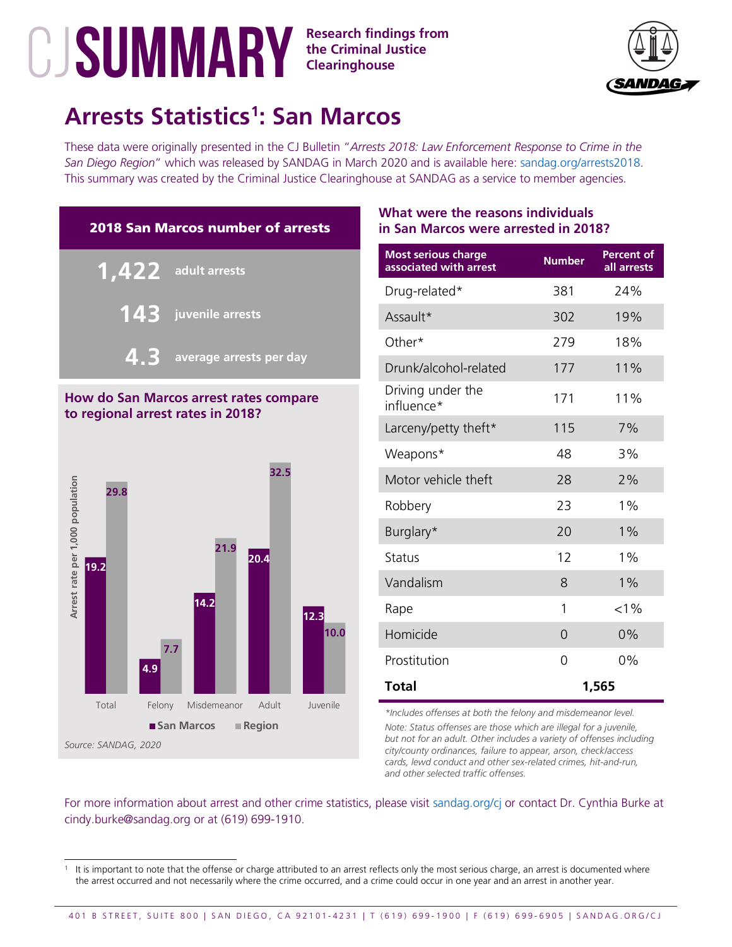**the Criminal Justice Clearinghouse**



# **Arrests Statistics[1](#page-14-0) : San Marcos**

These data were originally presented in the CJ Bulletin "*Arrests 2018: Law Enforcement Response to Crime in the San Diego Region*" which was released by SANDAG in March 2020 and is available here: [sandag.org/arrests2018.](http://www.sandag.org/arrests2018) This summary was created by the Criminal Justice Clearinghouse at SANDAG as a service to member agencies.



## **How do San Marcos arrest rates compare to regional arrest rates in 2018?**



## **What were the reasons individuals in San Marcos were arrested in 2018?**

| <b>Most serious charge</b><br>associated with arrest | <b>Number</b> | <b>Percent of</b><br>all arrests |
|------------------------------------------------------|---------------|----------------------------------|
| Drug-related*                                        | 381           | 24%                              |
| Assault*                                             | 302           | 19%                              |
| Other*                                               | 279           | 18%                              |
| Drunk/alcohol-related                                | 177           | 11%                              |
| Driving under the<br>influence*                      | 171           | 11%                              |
| Larceny/petty theft*                                 | 115           | 7%                               |
| Weapons*                                             | 48            | 3%                               |
| Motor vehicle theft                                  | 28            | 2%                               |
| Robbery                                              | 23            | $1\%$                            |
| Burglary*                                            | 20            | 1%                               |
| <b>Status</b>                                        | 12            | 1%                               |
| Vandalism                                            | 8             | $1\%$                            |
| Rape                                                 | 1             | $< 1\%$                          |
| Homicide                                             | 0             | 0%                               |
| Prostitution                                         | 0             | 0%                               |
| Total                                                | 1,565         |                                  |

*\*Includes offenses at both the felony and misdemeanor level.*

*Note: Status offenses are those which are illegal for a juvenile, but not for an adult. Other includes a variety of offenses including city/county ordinances, failure to appear, arson, check/access cards, lewd conduct and other sex-related crimes, hit-and-run, and other selected traffic offenses.*

<span id="page-14-0"></span>It is important to note that the offense or charge attributed to an arrest reflects only the most serious charge, an arrest is documented where the arrest occurred and not necessarily where the crime occurred, and a crime could occur in one year and an arrest in another year.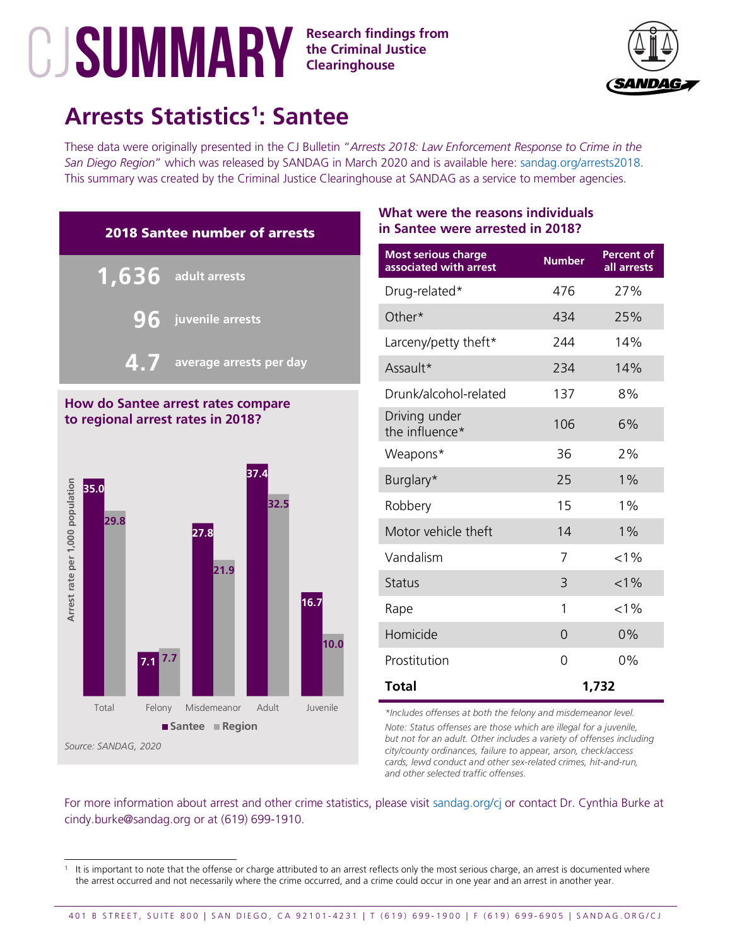**the Criminal Justice Clearinghouse**



# **Arrests Statistics[1](#page-15-0) : Santee**

These data were originally presented in the CJ Bulletin "*Arrests 2018: Law Enforcement Response to Crime in the San Diego Region*" which was released by SANDAG in March 2020 and is available here: [sandag.org/arrests2018.](http://www.sandag.org/arrests2018) This summary was created by the Criminal Justice Clearinghouse at SANDAG as a service to member agencies.



### **How do Santee arrest rates compare to regional arrest rates in 2018?**



## **What were the reasons individuals in Santee were arrested in 2018?**

| <b>Most serious charge</b><br>associated with arrest | <b>Number</b> | <b>Percent of</b><br>all arrests |
|------------------------------------------------------|---------------|----------------------------------|
| Drug-related*                                        | 476           | 27%                              |
| Other*                                               | 434           | 25%                              |
| Larceny/petty theft*                                 | 244           | 14%                              |
| Assault*                                             | 234           | 14%                              |
| Drunk/alcohol-related                                | 137           | 8%                               |
| Driving under<br>the influence*                      | 106           | 6%                               |
| Weapons*                                             | 36            | 2%                               |
| Burglary*                                            | 25            | $1\%$                            |
| Robbery                                              | 15            | 1%                               |
| Motor vehicle theft                                  | 14            | $1\%$                            |
| Vandalism                                            | 7             | $< 1\%$                          |
| <b>Status</b>                                        | 3             | $< 1\%$                          |
| Rape                                                 | 1             | $< 1\%$                          |
| Homicide                                             | $\Omega$      | 0%                               |
| Prostitution                                         | 0             | 0%                               |
| <b>Total</b>                                         | 1,732         |                                  |

*\*Includes offenses at both the felony and misdemeanor level.*

*Note: Status offenses are those which are illegal for a juvenile, but not for an adult. Other includes a variety of offenses including city/county ordinances, failure to appear, arson, check/access cards, lewd conduct and other sex-related crimes, hit-and-run, and other selected traffic offenses.*

<span id="page-15-0"></span>It is important to note that the offense or charge attributed to an arrest reflects only the most serious charge, an arrest is documented where the arrest occurred and not necessarily where the crime occurred, and a crime could occur in one year and an arrest in another year.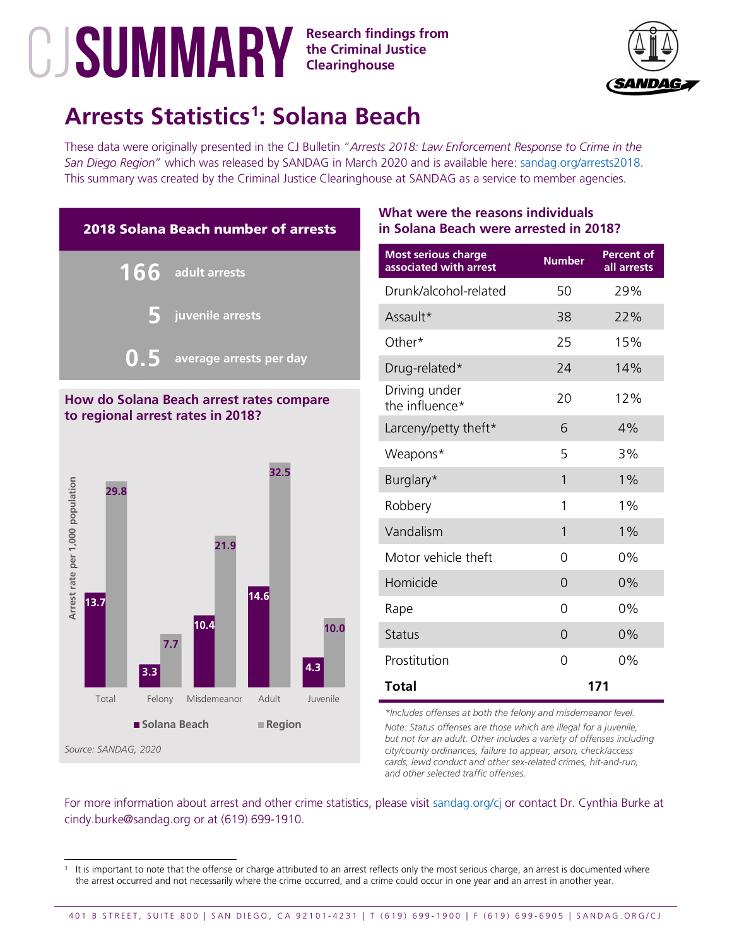

# **Arrests Statistics[1](#page-16-0) : Solana Beach**

These data were originally presented in the CJ Bulletin "*Arrests 2018: Law Enforcement Response to Crime in the San Diego Region*" which was released by SANDAG in March 2020 and is available here: [sandag.org/arrests2018.](http://www.sandag.org/arrests2018) This summary was created by the Criminal Justice Clearinghouse at SANDAG as a service to member agencies.



# **to regional arrest rates in 2018?**



## **What were the reasons individuals in Solana Beach were arrested in 2018?**

| <b>Most serious charge</b><br>associated with arrest | <b>Number</b> | <b>Percent of</b><br>all arrests |
|------------------------------------------------------|---------------|----------------------------------|
| Drunk/alcohol-related                                | 50            | 29%                              |
| Assault*                                             | 38            | 22%                              |
| Other*                                               | 25            | 15%                              |
| Drug-related*                                        | 24            | 14%                              |
| Driving under<br>the influence*                      | 20            | 12%                              |
| Larceny/petty theft*                                 | 6             | 4%                               |
| Weapons*                                             | 5             | 3%                               |
| Burglary*                                            | 1             | $1\%$                            |
| Robbery                                              | 1             | 1%                               |
| Vandalism                                            | 1             | 1%                               |
| Motor vehicle theft                                  | 0             | 0%                               |
| Homicide                                             | 0             | 0%                               |
| Rape                                                 | 0             | 0%                               |
| <b>Status</b>                                        | $\Omega$      | 0%                               |
| Prostitution                                         | 0             | 0%                               |
| <b>Total</b>                                         |               | 171                              |

*\*Includes offenses at both the felony and misdemeanor level.*

*Note: Status offenses are those which are illegal for a juvenile, but not for an adult. Other includes a variety of offenses including city/county ordinances, failure to appear, arson, check/access cards, lewd conduct and other sex-related crimes, hit-and-run, and other selected traffic offenses.*

<span id="page-16-0"></span>It is important to note that the offense or charge attributed to an arrest reflects only the most serious charge, an arrest is documented where the arrest occurred and not necessarily where the crime occurred, and a crime could occur in one year and an arrest in another year.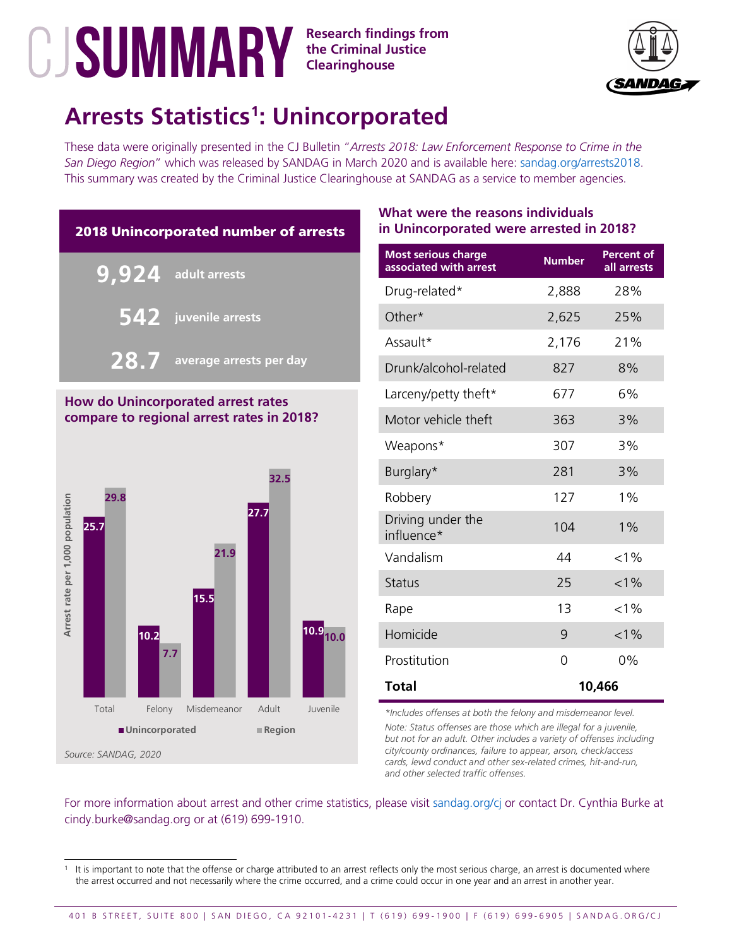

## **Arrests Statistics[1](#page-17-0) : Unincorporated**

These data were originally presented in the CJ Bulletin "*Arrests 2018: Law Enforcement Response to Crime in the San Diego Region*" which was released by SANDAG in March 2020 and is available here: [sandag.org/arrests2018.](http://www.sandag.org/arrests2018) This summary was created by the Criminal Justice Clearinghouse at SANDAG as a service to member agencies.



### **How do Unincorporated arrest rates compare to regional arrest rates in 2018?**



## **What were the reasons individuals in Unincorporated were arrested in 2018?**

| <b>Most serious charge</b><br>associated with arrest | <b>Number</b> | <b>Percent of</b><br>all arrests |
|------------------------------------------------------|---------------|----------------------------------|
| Drug-related*                                        | 2,888         | 28%                              |
| Other*                                               | 2,625         | 25%                              |
| Assault*                                             | 2,176         | 21%                              |
| Drunk/alcohol-related                                | 827           | 8%                               |
| Larceny/petty theft*                                 | 677           | 6%                               |
| Motor vehicle theft                                  | 363           | 3%                               |
| Weapons*                                             | 307           | 3%                               |
| Burglary*                                            | 281           | 3%                               |
| Robbery                                              | 127           | 1%                               |
| Driving under the<br>influence*                      | 104           | $1\%$                            |
| Vandalism                                            | 44            | $< 1\%$                          |
| <b>Status</b>                                        | 25            | $< 1\%$                          |
| Rape                                                 | 13            | $< 1\%$                          |
| Homicide                                             | 9             | $< 1\%$                          |
| Prostitution                                         | 0             | 0%                               |
| <b>Total</b>                                         | 10,466        |                                  |

*\*Includes offenses at both the felony and misdemeanor level.*

*Note: Status offenses are those which are illegal for a juvenile, but not for an adult. Other includes a variety of offenses including city/county ordinances, failure to appear, arson, check/access cards, lewd conduct and other sex-related crimes, hit-and-run, and other selected traffic offenses.*

<span id="page-17-0"></span>It is important to note that the offense or charge attributed to an arrest reflects only the most serious charge, an arrest is documented where the arrest occurred and not necessarily where the crime occurred, and a crime could occur in one year and an arrest in another year.